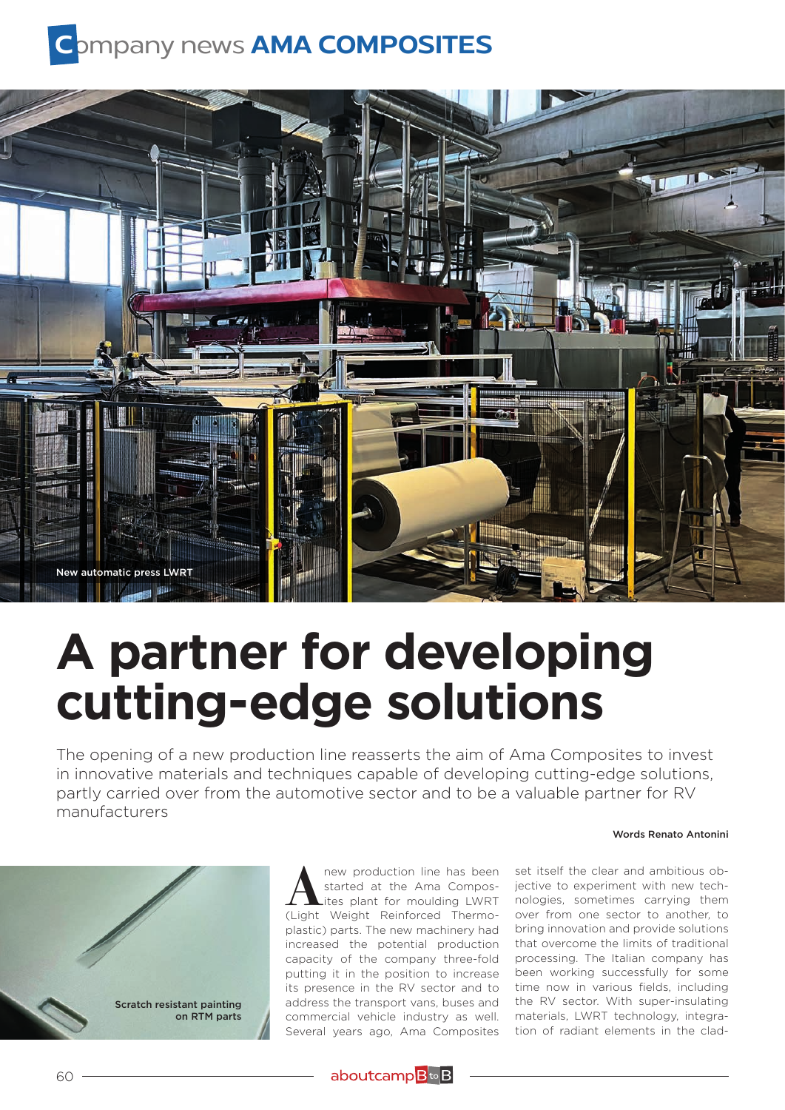## **C**ompany news **AMA COMPOSITES**



## **A partner for developing cutting-edge solutions**

The opening of a new production line reasserts the aim of Ama Composites to invest in innovative materials and techniques capable of developing cutting-edge solutions, partly carried over from the automotive sector and to be a valuable partner for RV manufacturers

## Words Renato Antonini



**A** new production line has been<br>started at the Ama Compos-<br>ites plant for moulding LWRT<br>(Light Weight Reinforced Thermostarted at the Ama Compos-(Light Weight Reinforced Thermoplastic) parts. The new machinery had increased the potential production capacity of the company three-fold putting it in the position to increase its presence in the RV sector and to address the transport vans, buses and commercial vehicle industry as well. Several years ago, Ama Composites

set itself the clear and ambitious objective to experiment with new technologies, sometimes carrying them over from one sector to another, to bring innovation and provide solutions that overcome the limits of traditional processing. The Italian company has been working successfully for some time now in various fields, including the RV sector. With super-insulating materials, LWRT technology, integration of radiant elements in the clad-